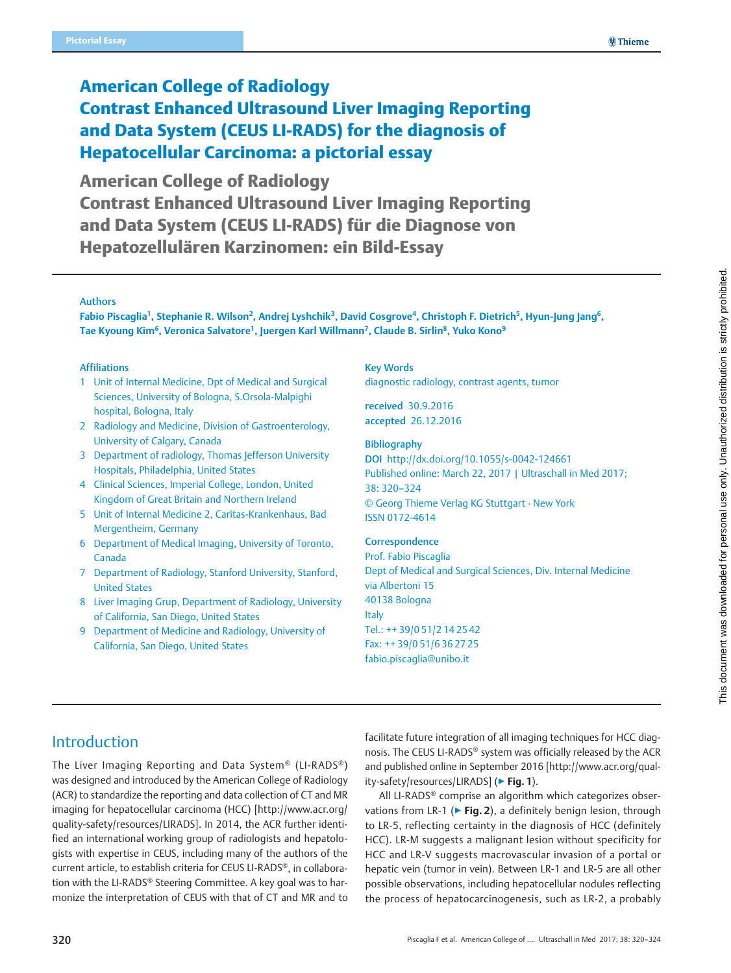# American College of Radiology Contrast Enhanced Ultrasound Liver Imaging Reporting and Data System (CEUS LI-RADS) for the diagnosis of Hepatocellular Carcinoma: a pictorial essay

American College of Radiology Contrast Enhanced Ultrasound Liver Imaging Reporting and Data System (CEUS LI-RADS) für die Diagnose von Hepatozellulären Karzinomen: ein Bild-Essay

### Authors

Fabio Piscaglia<sup>1</sup>, Stephanie R. Wilson<sup>2</sup>, Andrej Lyshchik<sup>3</sup>, David Cosgrove<sup>4</sup>, Christoph F. Dietrich<sup>5</sup>, Hyun-Jung Jang<sup>6</sup>, Tae Kyoung Kim<sup>6</sup>, Veronica Salvatore<sup>1</sup>, Juergen Karl Willmann<sup>7</sup>, Claude B. Sirlin<sup>8</sup>, Yuko Kono<sup>9</sup>

#### Affiliations

- 1 Unit of Internal Medicine, Dpt of Medical and Surgical Sciences, University of Bologna, S.Orsola-Malpighi hospital, Bologna, Italy
- 2 Radiology and Medicine, Division of Gastroenterology, University of Calgary, Canada
- 3 Department of radiology, Thomas Jefferson University Hospitals, Philadelphia, United States
- 4 Clinical Sciences, Imperial College, London, United Kingdom of Great Britain and Northern Ireland
- 5 Unit of Internal Medicine 2, Caritas-Krankenhaus, Bad Mergentheim, Germany
- 6 Department of Medical Imaging, University of Toronto, Canada
- 7 Department of Radiology, Stanford University, Stanford, United States
- 8 Liver Imaging Grup, Department of Radiology, University of California, San Diego, United States
- 9 Department of Medicine and Radiology, University of California, San Diego, United States

Key Words

diagnostic radiology, contrast agents, tumor

received 30.9.2016 accepted 26.12.2016

#### Bibliography

DOI http://dx.doi.org/10.1055/s-0042-124661 Published online: March 22, 2017 | Ultraschall in Med 2017; 38: 320–324 © Georg Thieme Verlag KG Stuttgart · New York ISSN 0172-4614

#### **Correspondence**

Prof. Fabio Piscaglia Dept of Medical and Surgical Sciences, Div. Internal Medicine via Albertoni 15 40138 Bologna Italy Tel.: ++ 39/0 51/2 14 25 42 Fax: ++ 39/0 51/6 36 27 25 fabio.piscaglia@unibo.it

The Liver Imaging Reporting and Data System® (LI-RADS®) was designed and introduced by the American College of Radiology (ACR) to standardize the reporting and data collection of CT and MR imaging for hepatocellular carcinoma (HCC) [http://www.acr.org/ quality-safety/resources/LIRADS]. In 2014, the ACR further identified an international working group of radiologists and hepatologists with expertise in CEUS, including many of the authors of the current article, to establish criteria for CEUS LI-RADS®, in collaboration with the LI-RADS® Steering Committee. A key goal was to harmonize the interpretation of CEUS with that of CT and MR and to

facilitate future integration of all imaging techniques for HCC diagnosis. The CEUS LI-RADS® system was officially released by the ACR and published online in September 2016 [http://www.acr.org/quality-safety/resources/LIRADS] (▶ Fig. 1).

All LI-RADS® comprise an algorithm which categorizes observations from LR-1 ( $\triangleright$  Fig. 2), a definitely benign lesion, through to LR-5, reflecting certainty in the diagnosis of HCC (definitely HCC). LR-M suggests a malignant lesion without specificity for HCC and LR-V suggests macrovascular invasion of a portal or hepatic vein (tumor in vein). Between LR-1 and LR-5 are all other possible observations, including hepatocellular nodules reflecting the process of hepatocarcinogenesis, such as LR-2, a probably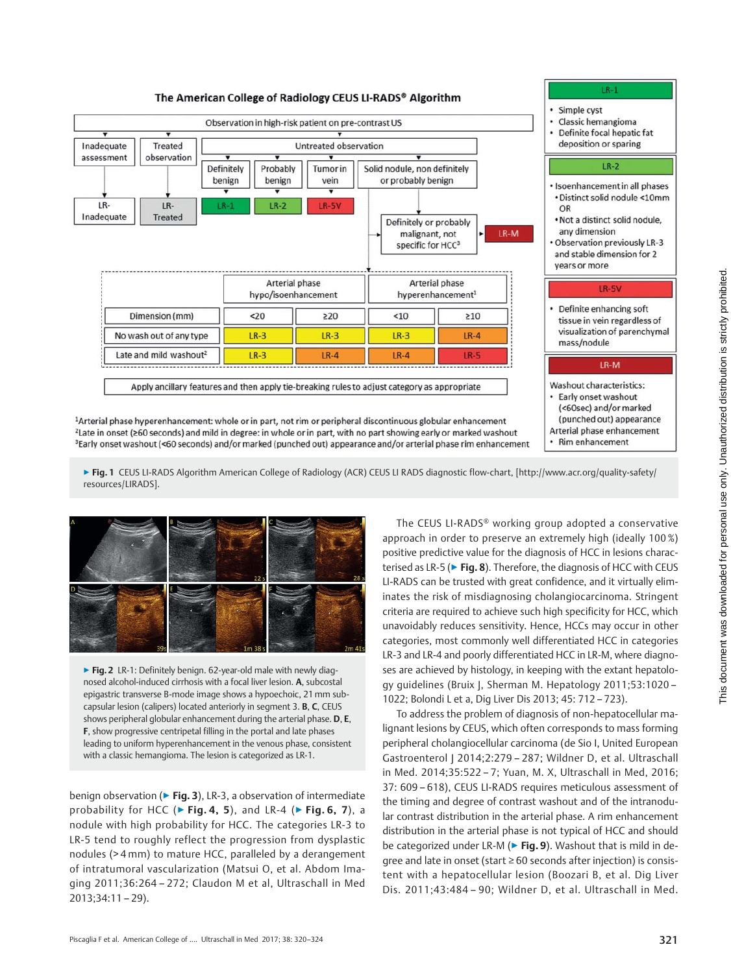

▶ Fig. 1 CEUS LI-RADS Algorithm American College of Radiology (ACR) CEUS LI RADS diagnostic flow-chart, [http://www.acr.org/quality-safety/ resources/LIRADS].



▶ Fig. 2 LR-1: Definitely benign. 62-year-old male with newly diagnosed alcohol-induced cirrhosis with a focal liver lesion. A, subcostal epigastric transverse B-mode image shows a hypoechoic, 21 mm subcapsular lesion (calipers) located anteriorly in segment 3. B, C, CEUS shows peripheral globular enhancement during the arterial phase. D, E, F, show progressive centripetal filling in the portal and late phases leading to uniform hyperenhancement in the venous phase, consistent with a classic hemangioma. The lesion is categorized as LR-1.

benign observation (▶ Fig. 3), LR-3, a observation of intermediate probability for HCC ( $\triangleright$  Fig. 4, 5), and LR-4 ( $\triangleright$  Fig. 6, 7), a nodule with high probability for HCC. The categories LR-3 to LR-5 tend to roughly reflect the progression from dysplastic nodules (> 4 mm) to mature HCC, paralleled by a derangement of intratumoral vascularization (Matsui O, et al. Abdom Imaging 2011;36:264 – 272; Claudon M et al, Ultraschall in Med 2013;34:11 – 29).

The CEUS LI-RADS® working group adopted a conservative approach in order to preserve an extremely high (ideally 100 %) positive predictive value for the diagnosis of HCC in lesions characterised as LR-5 (▶ Fig. 8). Therefore, the diagnosis of HCC with CEUS LI-RADS can be trusted with great confidence, and it virtually eliminates the risk of misdiagnosing cholangiocarcinoma. Stringent criteria are required to achieve such high specificity for HCC, which unavoidably reduces sensitivity. Hence, HCCs may occur in other categories, most commonly well differentiated HCC in categories LR-3 and LR-4 and poorly differentiated HCC in LR-M, where diagnoses are achieved by histology, in keeping with the extant hepatology guidelines (Bruix J, Sherman M. Hepatology 2011;53:1020 – 1022; Bolondi L et a, Dig Liver Dis 2013; 45: 712 – 723).

To address the problem of diagnosis of non-hepatocellular malignant lesions by CEUS, which often corresponds to mass forming peripheral cholangiocellular carcinoma (de Sio I, United European Gastroenterol J 2014;2:279 - 287; Wildner D, et al. Ultraschall in Med. 2014;35:522 – 7; Yuan, M. X, Ultraschall in Med, 2016; 37: 609 – 618), CEUS LI-RADS requires meticulous assessment of the timing and degree of contrast washout and of the intranodular contrast distribution in the arterial phase. A rim enhancement distribution in the arterial phase is not typical of HCC and should be categorized under LR-M ( $\triangleright$  Fig. 9). Washout that is mild in degree and late in onset (start ≥ 60 seconds after injection) is consistent with a hepatocellular lesion (Boozari B, et al. Dig Liver Dis. 2011;43:484 – 90; Wildner D, et al. Ultraschall in Med.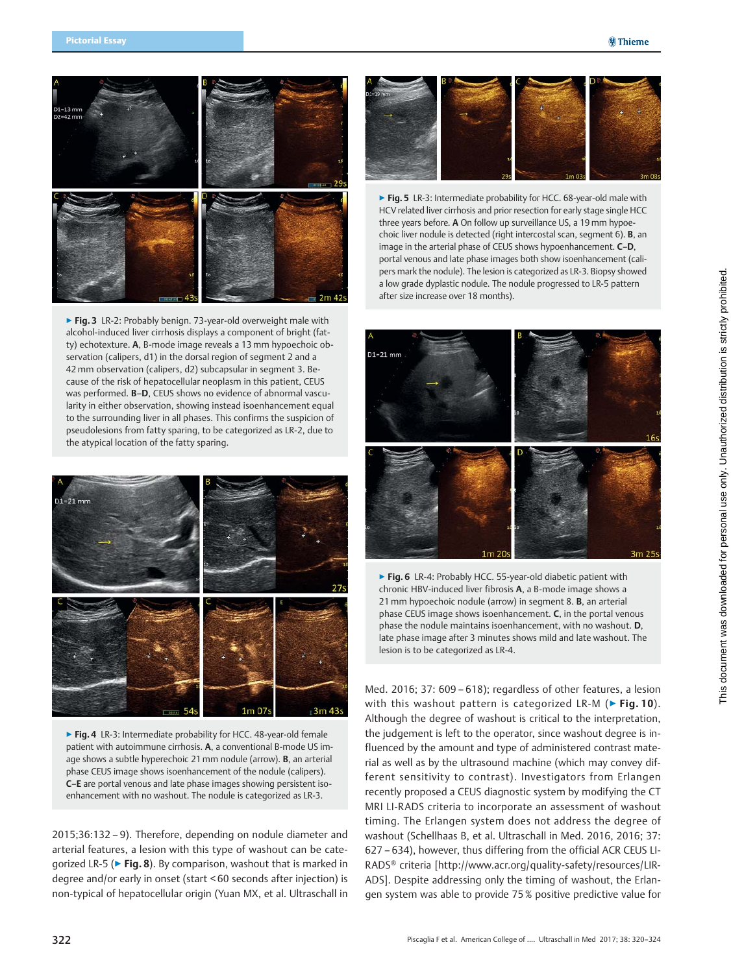

▶ Fig. 3 LR-2: Probably benign. 73-year-old overweight male with alcohol-induced liver cirrhosis displays a component of bright (fatty) echotexture. A, B-mode image reveals a 13 mm hypoechoic observation (calipers, d1) in the dorsal region of segment 2 and a 42 mm observation (calipers, d2) subcapsular in segment 3. Because of the risk of hepatocellular neoplasm in this patient, CEUS was performed. B–D, CEUS shows no evidence of abnormal vascularity in either observation, showing instead isoenhancement equal to the surrounding liver in all phases. This confirms the suspicion of pseudolesions from fatty sparing, to be categorized as LR-2, due to the atypical location of the fatty sparing.



▶ Fig. 4 LR-3: Intermediate probability for HCC. 48-year-old female patient with autoimmune cirrhosis. A, a conventional B-mode US image shows a subtle hyperechoic 21 mm nodule (arrow). B, an arterial phase CEUS image shows isoenhancement of the nodule (calipers). C–E are portal venous and late phase images showing persistent isoenhancement with no washout. The nodule is categorized as LR-3.

2015;36:132 – 9). Therefore, depending on nodule diameter and arterial features, a lesion with this type of washout can be categorized LR-5 (▶ Fig. 8). By comparison, washout that is marked in degree and/or early in onset (start < 60 seconds after injection) is non-typical of hepatocellular origin (Yuan MX, et al. Ultraschall in



▶ Fig. 5 LR-3: Intermediate probability for HCC. 68-year-old male with HCV related liver cirrhosis and prior resection for early stage single HCC three years before. A On follow up surveillance US, a 19 mm hypoechoic liver nodule is detected (right intercostal scan, segment 6). B, an image in the arterial phase of CEUS shows hypoenhancement. C–D, portal venous and late phase images both show isoenhancement (calipers mark the nodule). The lesion is categorized as LR-3. Biopsy showed a low grade dyplastic nodule. The nodule progressed to LR-5 pattern after size increase over 18 months).



▶ Fig. 6 LR-4: Probably HCC. 55-year-old diabetic patient with chronic HBV-induced liver fibrosis A, a B-mode image shows a 21 mm hypoechoic nodule (arrow) in segment 8. B, an arterial phase CEUS image shows isoenhancement. C, in the portal venous phase the nodule maintains isoenhancement, with no washout. D, late phase image after 3 minutes shows mild and late washout. The lesion is to be categorized as LR-4.

Med. 2016; 37: 609 – 618); regardless of other features, a lesion with this washout pattern is categorized LR-M ( $\triangleright$  Fig. 10). Although the degree of washout is critical to the interpretation, the judgement is left to the operator, since washout degree is influenced by the amount and type of administered contrast material as well as by the ultrasound machine (which may convey different sensitivity to contrast). Investigators from Erlangen recently proposed a CEUS diagnostic system by modifying the CT MRI LI-RADS criteria to incorporate an assessment of washout timing. The Erlangen system does not address the degree of washout (Schellhaas B, et al. Ultraschall in Med. 2016, 2016; 37: 627 – 634), however, thus differing from the official ACR CEUS LI-RADS® criteria [http://www.acr.org/quality-safety/resources/LIR-ADS]. Despite addressing only the timing of washout, the Erlangen system was able to provide 75 % positive predictive value for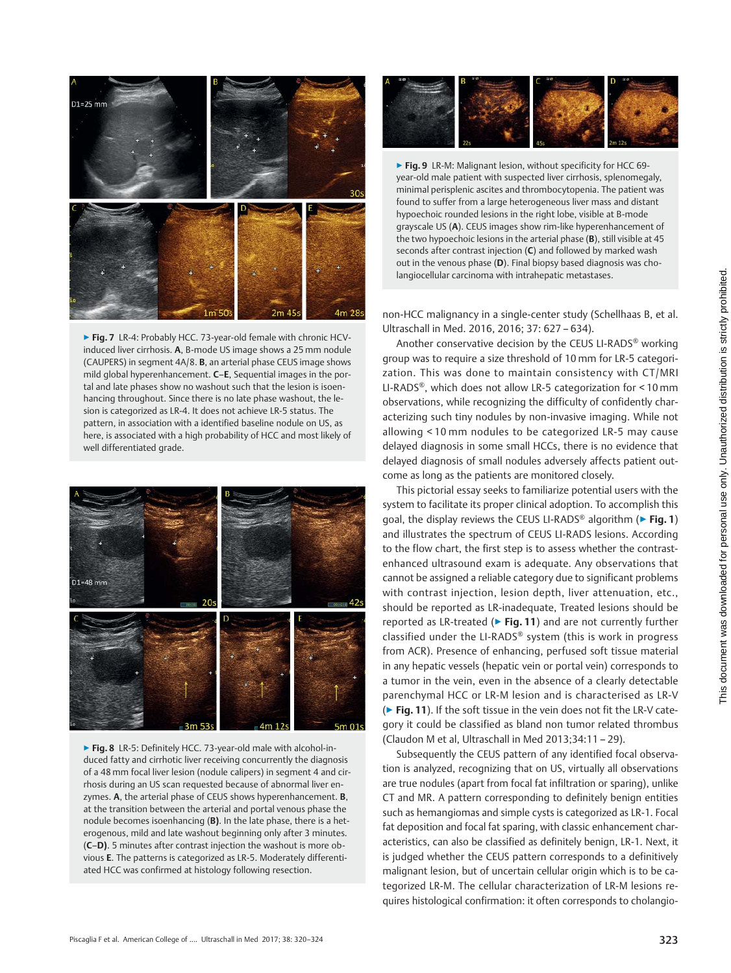

▶ Fig. 7 LR-4: Probably HCC. 73-year-old female with chronic HCVinduced liver cirrhosis. A, B-mode US image shows a 25 mm nodule (CAUPERS) in segment 4A/8. B, an arterial phase CEUS image shows mild global hyperenhancement. C–E, Sequential images in the portal and late phases show no washout such that the lesion is isoenhancing throughout. Since there is no late phase washout, the lesion is categorized as LR-4. It does not achieve LR-5 status. The pattern, in association with a identified baseline nodule on US, as here, is associated with a high probability of HCC and most likely of well differentiated grade.



▶ Fig. 8 LR-5: Definitely HCC. 73-year-old male with alcohol-induced fatty and cirrhotic liver receiving concurrently the diagnosis of a 48 mm focal liver lesion (nodule calipers) in segment 4 and cirrhosis during an US scan requested because of abnormal liver enzymes. A, the arterial phase of CEUS shows hyperenhancement. **B**, at the transition between the arterial and portal venous phase the nodule becomes isoenhancing (B). In the late phase, there is a heterogenous, mild and late washout beginning only after 3 minutes. (C–D). 5 minutes after contrast injection the washout is more obvious E. The patterns is categorized as LR-5. Moderately differentiated HCC was confirmed at histology following resection.



▶ Fig. 9 LR-M: Malignant lesion, without specificity for HCC 69year-old male patient with suspected liver cirrhosis, splenomegaly, minimal perisplenic ascites and thrombocytopenia. The patient was found to suffer from a large heterogeneous liver mass and distant hypoechoic rounded lesions in the right lobe, visible at B-mode grayscale US (A). CEUS images show rim-like hyperenhancement of the two hypoechoic lesions in the arterial phase (B), still visible at 45 seconds after contrast injection (C) and followed by marked wash out in the venous phase (D). Final biopsy based diagnosis was cholangiocellular carcinoma with intrahepatic metastases.

non-HCC malignancy in a single-center study (Schellhaas B, et al. Ultraschall in Med. 2016, 2016; 37: 627 – 634).

Another conservative decision by the CEUS LI-RADS® working group was to require a size threshold of 10 mm for LR-5 categorization. This was done to maintain consistency with CT/MRI LI-RADS®, which does not allow LR-5 categorization for < 10 mm observations, while recognizing the difficulty of confidently characterizing such tiny nodules by non-invasive imaging. While not allowing < 10 mm nodules to be categorized LR-5 may cause delayed diagnosis in some small HCCs, there is no evidence that delayed diagnosis of small nodules adversely affects patient outcome as long as the patients are monitored closely.

This pictorial essay seeks to familiarize potential users with the system to facilitate its proper clinical adoption. To accomplish this goal, the display reviews the CEUS LI-RADS<sup>®</sup> algorithm (▶ Fig. 1) and illustrates the spectrum of CEUS LI-RADS lesions. According to the flow chart, the first step is to assess whether the contrastenhanced ultrasound exam is adequate. Any observations that cannot be assigned a reliable category due to significant problems with contrast injection, lesion depth, liver attenuation, etc., should be reported as LR-inadequate, Treated lesions should be reported as LR-treated ( $\triangleright$  Fig. 11) and are not currently further classified under the LI-RADS® system (this is work in progress from ACR). Presence of enhancing, perfused soft tissue material in any hepatic vessels (hepatic vein or portal vein) corresponds to a tumor in the vein, even in the absence of a clearly detectable parenchymal HCC or LR-M lesion and is characterised as LR-V (▶ Fig. 11). If the soft tissue in the vein does not fit the LR-V category it could be classified as bland non tumor related thrombus (Claudon M et al, Ultraschall in Med 2013;34:11 – 29).

Subsequently the CEUS pattern of any identified focal observation is analyzed, recognizing that on US, virtually all observations are true nodules (apart from focal fat infiltration or sparing), unlike CT and MR. A pattern corresponding to definitely benign entities such as hemangiomas and simple cysts is categorized as LR-1. Focal fat deposition and focal fat sparing, with classic enhancement characteristics, can also be classified as definitely benign, LR-1. Next, it is judged whether the CEUS pattern corresponds to a definitively malignant lesion, but of uncertain cellular origin which is to be categorized LR-M. The cellular characterization of LR-M lesions requires histological confirmation: it often corresponds to cholangio-